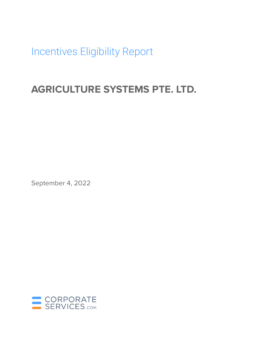Incentives Eligibility Report

# **AGRICULTURE SYSTEMS PTE. LTD.**

September 4, 2022

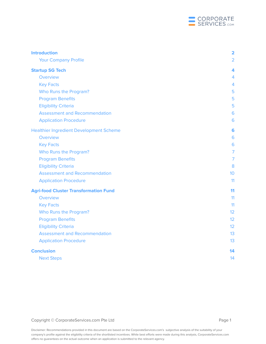

| <b>Introduction</b>                            | $\overline{\mathbf{2}}$ |
|------------------------------------------------|-------------------------|
| <b>Your Company Profile</b>                    | $\overline{2}$          |
| <b>Startup SG Tech</b>                         | 4                       |
| Overview                                       | 4                       |
| <b>Key Facts</b>                               | $\overline{4}$          |
| Who Runs the Program?                          | 5                       |
| <b>Program Benefits</b>                        | 5                       |
| <b>Eligibility Criteria</b>                    | 5                       |
| <b>Assessment and Recommendation</b>           | 6                       |
| <b>Application Procedure</b>                   | 6                       |
| <b>Healthier Ingredient Development Scheme</b> | 6                       |
| Overview                                       | 6                       |
| <b>Key Facts</b>                               | 6                       |
| Who Runs the Program?                          | $\overline{7}$          |
| <b>Program Benefits</b>                        | $\overline{7}$          |
| <b>Eligibility Criteria</b>                    | 8                       |
| <b>Assessment and Recommendation</b>           | 10                      |
| <b>Application Procedure</b>                   | 11                      |
| <b>Agri-food Cluster Transformation Fund</b>   | 11                      |
| Overview                                       | 11                      |
| <b>Key Facts</b>                               | 11                      |
| Who Runs the Program?                          | 12                      |
| <b>Program Benefits</b>                        | 12                      |
| <b>Eligibility Criteria</b>                    | 12                      |
| <b>Assessment and Recommendation</b>           | 13                      |
| <b>Application Procedure</b>                   | 13                      |
| <b>Conclusion</b>                              | 14                      |
| <b>Next Steps</b>                              | 14                      |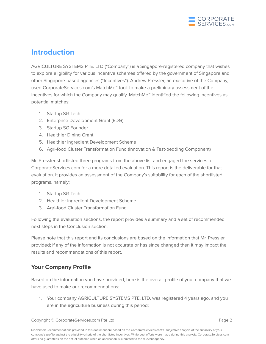

## <span id="page-2-0"></span>**Introduction**

AGRICULTURE SYSTEMS PTE. LTD ("Company") is a Singapore-registered company that wishes to explore eligibility for various incentive schemes offered by the government of Singapore and other Singapore-based agencies ("Incentives"). Andrew Pressler, an executive of the Company, used CorporateServices.com's MatchMe™ tool to make a preliminary assessment of the Incentives for which the Company may qualify. MatchMe™ identified the following Incentives as potential matches:

- 1. Startup SG Tech
- 2. Enterprise Development Grant (EDG)
- 3. Startup SG Founder
- 4. Healthier Dining Grant
- 5. Healthier Ingredient Development Scheme
- 6. Agri-food Cluster Transformation Fund (Innovation & Test-bedding Component)

Mr. Pressler shortlisted three programs from the above list and engaged the services of CorporateServices.com for a more detailed evaluation. This report is the deliverable for that evaluation. It provides an assessment of the Company's suitability for each of the shortlisted programs, namely:

- 1. Startup SG Tech
- 2. Healthier Ingredient Development Scheme
- 3. Agri-food Cluster Transformation Fund

Following the evaluation sections, the report provides a summary and a set of recommended next steps in the Conclusion section.

Please note that this report and its conclusions are based on the information that Mr. Pressler provided; if any of the information is not accurate or has since changed then it may impact the results and recommendations of this report.

### <span id="page-2-1"></span>**Your Company Profile**

Based on the information you have provided, here is the overall profile of your company that we have used to make our recommendations:

1. Your company AGRICULTURE SYSTEMS PTE. LTD. was registered 4 years ago, and you are in the agriculture business during this period;

Copyright © CorporateServices.com Pte Ltd **Page 2** 2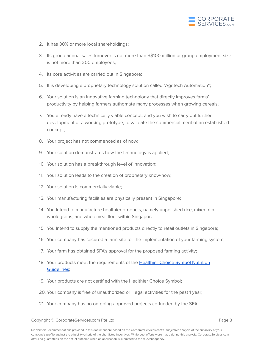

- 2. It has 30% or more local shareholdings;
- 3. Its group annual sales turnover is not more than S\$100 million or group employment size is not more than 200 employees;
- 4. Its core activities are carried out in Singapore;
- 5. It is developing a proprietary technology solution called "Agritech Automation";
- 6. Your solution is an innovative farming technology that directly improves farms' productivity by helping farmers authomate many processes when growing cereals;
- 7. You already have a technically viable concept, and you wish to carry out further development of a working prototype, to validate the commercial merit of an established concept;
- 8. Your project has not commenced as of now;
- 9. Your solution demonstrates how the technology is applied;
- 10. Your solution has a breakthrough level of innovation;
- 11. Your solution leads to the creation of proprietary know-how;
- 12. Your solution is commercially viable;
- 13. Your manufacturing facilities are physically present in Singapore;
- 14. You Intend to manufacture healthier products, namely unpolished rice, mixed rice, wholegrains, and wholemeal flour within Singapore;
- 15. You Intend to supply the mentioned products directly to retail outlets in Singapore;
- 16. Your company has secured a farm site for the implementation of your farming system;
- 17. Your farm has obtained SFA's approval for the proposed farming activity;
- 18. Your products meet the requirements of the [Healthier](http://www.hpb.gov.sg/food-beverage/healthier-choice-symbol) Choice Symbol Nutrition [Guidelines](http://www.hpb.gov.sg/food-beverage/healthier-choice-symbol);
- 19. Your products are not certified with the Healthier Choice Symbol;
- 20. Your company is free of unauthorized or illegal activities for the past 1 year;
- 21. Your company has no on-going approved projects co-funded by the SFA;

Copyright © CorporateServices.com Pte Ltd **Page 3** and Page 3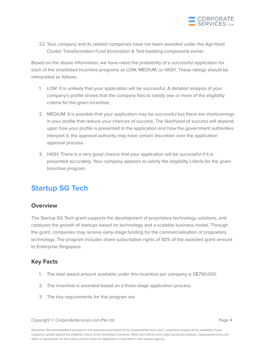

22. Your company and its related companies have not been awarded under the Agri-food Cluster Transformation Fund (Innovation & Test-bedding component) earlier.

Based on the above information, we have rated the probability of a successful application for each of the shortlisted Incentive programs as LOW, MEDIUM, or HIGH. These ratings should be interpreted as follows:

- 1. LOW: It is unlikely that your application will be successful. A detailed analysis of your company's profile shows that the company fails to satisfy one or more of the eligibility criteria for the given Incentive.,
- 2. MEDIUM: It is possible that your application may be successful but there are shortcomings in your profile that reduce your chances of success. The likelihood of success will depend upon how your profile is presented in the application and how the government authorities interpret it; the approval authority may have certain discretion over the application approval process.
- 3. HIGH: There is a very good chance that your application will be successful if it is presented accurately. Your company appears to satisfy the eligibility criteria for the given Incentive program.

# <span id="page-4-0"></span>**Startup SG Tech**

### <span id="page-4-1"></span>**Overview**

The Startup SG Tech grant supports the development of proprietary technology solutions, and catalyzes the growth of startups based on technology and a scalable business model. Through the grant, companies may receive early-stage funding for the commercialisation of proprietary technology. The program includes share subscription rights of 50% of the awarded grant amount to Enterprise Singapore.

### <span id="page-4-2"></span>**Key Facts**

- 1. The total award amount available under this incentive per company is S\$750,000.
- 2. The incentive is awarded based on a three-stage application process.
- 3. The key requirements for this program are

Copyright © CorporateServices.com Pte Ltd **Page 4** and Page 4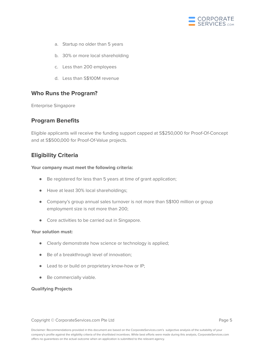

- a. Startup no older than 5 years
- b. 30% or more local shareholding
- c. Less than 200 employees
- d. Less than S\$100M revenue

### <span id="page-5-0"></span>**Who Runs the Program?**

<span id="page-5-1"></span>Enterprise Singapore

### **Program Benefits**

Eligible applicants will receive the funding support capped at S\$250,000 for Proof-Of-Concept and at S\$500,000 for Proof-Of-Value projects.

### <span id="page-5-2"></span>**Eligibility Criteria**

#### **Your company must meet the following criteria:**

- Be registered for less than 5 years at time of grant application;
- Have at least 30% local shareholdings;
- Company's group annual sales turnover is not more than S\$100 million or group employment size is not more than 200;
- Core activities to be carried out in Singapore.

#### **Your solution must:**

- Clearly demonstrate how science or technology is applied;
- Be of a breakthrough level of innovation;
- Lead to or build on proprietary know-how or IP;
- Be commercially viable.

#### **Qualifying Projects**

#### Copyright © CorporateServices.com Pte Ltd **Page 5** and Page 5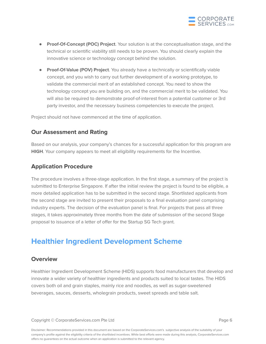

- **Proof-Of-Concept (POC) Project**. Your solution is at the conceptualisation stage, and the technical or scientific viability still needs to be proven. You should clearly explain the innovative science or technology concept behind the solution.
- **Proof-Of-Value (POV) Project**. You already have a technically or scientifically viable concept, and you wish to carry out further development of a working prototype, to validate the commercial merit of an established concept. You need to show the technology concept you are building on, and the commercial merit to be validated. You will also be required to demonstrate proof-of-interest from a potential customer or 3rd party investor, and the necessary business competencies to execute the project.

<span id="page-6-0"></span>Project should not have commenced at the time of application.

### **Our Assessment and Rating**

Based on our analysis, your company's chances for a successful application for this program are **HIGH**. Your company appears to meet all eligibility requirements for the Incentive.

### <span id="page-6-1"></span>**Application Procedure**

The procedure involves a three-stage application. In the first stage, a summary of the project is submitted to Enterprise Singapore. If after the initial review the project is found to be eligible, a more detailed application has to be submitted in the second stage. Shortlisted applicants from the second stage are invited to present their proposals to a final evaluation panel comprising industry experts. The decision of the evaluation panel is final. For projects that pass all three stages, it takes approximately three months from the date of submission of the second Stage proposal to issuance of a letter of offer for the Startup SG Tech grant.

# <span id="page-6-2"></span>**Healthier Ingredient Development Scheme**

### <span id="page-6-3"></span>**Overview**

Healthier Ingredient Development Scheme (HIDS) supports food manufacturers that develop and innovate a wider variety of healthier ingredients and products suited to local tastes. The HIDS covers both oil and grain staples, mainly rice and noodles, as well as sugar-sweetened beverages, sauces, desserts, wholegrain products, sweet spreads and table salt.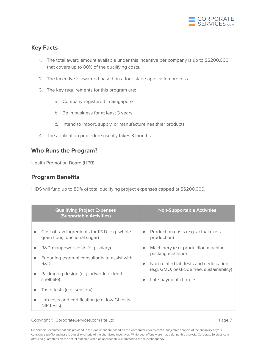

### <span id="page-7-0"></span>**Key Facts**

- 1. The total award amount available under this incentive per company is up to S\$200,000 that covers up to 80% of the qualifying costs.
- 2. The incentive is awarded based on a four-stage application process.
- 3. The key requirements for this program are:
	- a. Company registered in Singapore
	- b. Be in business for at least 3 years
	- c. Intend to import, supply, or manufacture healthier products
- 4. The application procedure usually takes 3 months.

### <span id="page-7-1"></span>**Who Runs the Program?**

<span id="page-7-2"></span>Health Promotion Board (HPB)

### **Program Benefits**

HIDS will fund up to 80% of total qualifying project expenses capped at S\$200,000.

|                                                  | <b>Qualifying Project Expenses</b><br><b>(Supportable Activities)</b>                                                                                                                                              |                                     | <b>Non-Supportable Activities</b>                                                                                                                                                                     |
|--------------------------------------------------|--------------------------------------------------------------------------------------------------------------------------------------------------------------------------------------------------------------------|-------------------------------------|-------------------------------------------------------------------------------------------------------------------------------------------------------------------------------------------------------|
| $\bullet$<br>$\bullet$<br>$\bullet$<br>$\bullet$ | Cost of raw ingredients for R&D (e.g. whole<br>grain flour, functional sugar)<br>R&D manpower costs (e.g. salary)<br>Engaging external consultants to assist with<br>R&D<br>Packaging design (e.g. artwork, extend | $\bullet$<br>$\bullet$<br>$\bullet$ | Production costs (e.g. actual mass<br>production)<br>Machinery (e.g. production machine,<br>packing machine)<br>Non-related lab tests and certification<br>(e.g. GMO, pesticide free, sustainability) |
|                                                  | shelf-life)<br>Taste tests (e.g. sensory)                                                                                                                                                                          | $\bullet$                           | Late payment charges                                                                                                                                                                                  |
| $\bullet$                                        | Lab tests and certification (e.g. low GI tests,<br>NIP tests)                                                                                                                                                      |                                     |                                                                                                                                                                                                       |

#### Copyright © CorporateServices.com Pte Ltd **Page 7** and Page 7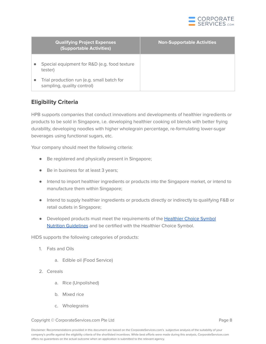

|           | <b>Qualifying Project Expenses</b><br><b>(Supportable Activities)</b>    | <b>Non-Supportable Activities</b> |
|-----------|--------------------------------------------------------------------------|-----------------------------------|
| $\bullet$ | Special equipment for R&D (e.g. food texture<br>tester)                  |                                   |
| $\bullet$ | Trial production run (e.g. small batch for<br>sampling, quality control) |                                   |

### <span id="page-8-0"></span>**Eligibility Criteria**

HPB supports companies that conduct innovations and developments of healthier ingredients or products to be sold in Singapore, i.e. developing healthier cooking oil blends with better frying durability, developing noodles with higher wholegrain percentage, re-formulating lower-sugar beverages using functional sugars, etc.

Your company should meet the following criteria:

- Be registered and physically present in Singapore;
- Be in business for at least 3 years;
- Intend to import healthier ingredients or products into the Singapore market, or intend to manufacture them within Singapore;
- Intend to supply healthier ingredients or products directly or indirectly to qualifying F&B or retail outlets in Singapore;
- Developed products must meet the requirements of the [Healthier](http://www.hpb.gov.sg/food-beverage/healthier-choice-symbol) Choice Symbol Nutrition [Guidelines](http://www.hpb.gov.sg/food-beverage/healthier-choice-symbol) and be certified with the Healthier Choice Symbol.

HIDS supports the following categories of products:

- 1. Fats and Oils
	- a. Edible oil (Food Service)
- 2. Cereals
	- a. Rice (Unpolished)
	- b. Mixed rice
	- c. Wholegrains

Copyright © CorporateServices.com Pte Ltd **Page 8** and Page 8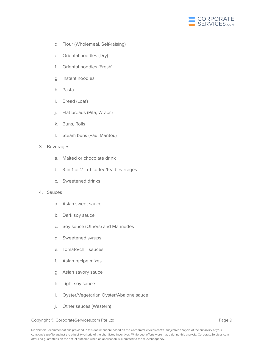

- d. Flour (Wholemeal, Self-raising)
- e. Oriental noodles (Dry)
- f. Oriental noodles (Fresh)
- g. Instant noodles
- h. Pasta
- i. Bread (Loaf)
- j. Flat breads (Pita, Wraps)
- k. Buns, Rolls
- l. Steam buns (Pau, Mantou)

#### 3. Beverages

- a. Malted or chocolate drink
- b. 3-in-1 or 2-in-1 coffee/tea beverages
- c. Sweetened drinks

#### 4. Sauces

- a. Asian sweet sauce
- b. Dark soy sauce
- c. Soy sauce (Others) and Marinades
- d. Sweetened syrups
- e. Tomato/chili sauces
- f. Asian recipe mixes
- g. Asian savory sauce
- h. Light soy sauce
- i. Oyster/Vegetarian Oyster/Abalone sauce
- j. Other sauces (Western)

#### Copyright © CorporateServices.com Pte Ltd **Page 9** and Page 9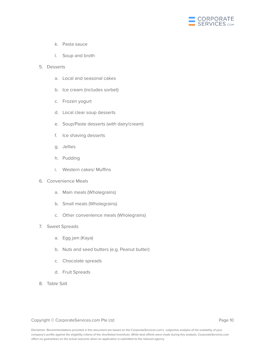

- k. Pasta sauce
- l. Soup and broth
- 5. Desserts
	- a. Local and seasonal cakes
	- b. Ice cream (includes sorbet)
	- c. Frozen yogurt
	- d. Local clear soup desserts
	- e. Soup/Paste desserts (with dairy/cream)
	- f. Ice shaving desserts
	- g. Jellies
	- h. Pudding
	- i. Western cakes/ Muffins
- 6. Convenience Meals
	- a. Main meals (Wholegrains)
	- b. Small meals (Wholegrains)
	- c. Other convenience meals (Wholegrains)
- 7. Sweet Spreads
	- a. Egg jam (Kaya)
	- b. Nuts and seed butters (e.g. Peanut butter)
	- c. Chocolate spreads
	- d. Fruit Spreads
- 8. Table Salt

#### Copyright © CorporateServices.com Pte Ltd **Page 10** Page 10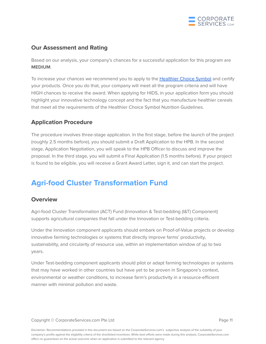

### **Our Assessment and Rating**

Based on our analysis, your company's chances for a successful application for this program are **MEDIUM**.

To increase your chances we recommend you to apply to the [Healthier](https://healthier-choice.hpb.gov.sg/default/onboarding/home) Choice Symbol and certify your products. Once you do that, your company will meet all the program criteria and will have HIGH chances to receive the award. When applying for HIDS, in your application form you should highlight your innovative technology concept and the fact that you manufacture healthier cereals that meet all the requirements of the Healthier Choice Symbol Nutrition Guidelines.

### <span id="page-11-0"></span>**Application Procedure**

The procedure involves three-stage application. In the first stage, before the launch of the project (roughly 2.5 months before), you should submit a Draft Application to the HPB. In the second stage, Application Negotiation, you will speak to the HPB Officer to discuss and improve the proposal. In the third stage, you will submit a Final Application (1.5 months before). If your project is found to be eligible, you will receive a Grant Award Letter, sign it, and can start the project.

# <span id="page-11-1"></span>**Agri-food Cluster Transformation Fund**

### <span id="page-11-2"></span>**Overview**

Agri-food Cluster Transformation (ACT) Fund (Innovation & Test-bedding (I&T) Component) supports agricultural companies that fall under the Innovation or Test-bedding criteria.

Under the Innovation component applicants should embark on Proof-of-Value projects or develop innovative farming technologies or systems that directly improve farms' productivity, sustainability, and circularity of resource use, within an implementation window of up to two years.

Under Test-bedding component applicants should pilot or adapt farming technologies or systems that may have worked in other countries but have yet to be proven in Singapore's context, environmental or weather conditions, to increase farm's productivity in a resource-efficient manner with minimal pollution and waste.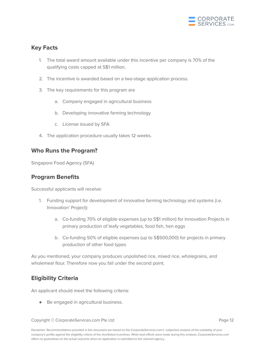

### <span id="page-12-0"></span>**Key Facts**

- 1. The total award amount available under this incentive per company is 70% of the qualifying costs capped at S\$1 million.
- 2. The incentive is awarded based on a two-stage application process.
- 3. The key requirements for this program are
	- a. Company engaged in agricultural business
	- b. Developing innovative farming technology
	- c. License issued by SFA
- 4. The application procedure usually takes 12 weeks.

### <span id="page-12-1"></span>**Who Runs the Program?**

<span id="page-12-2"></span>Singapore Food Agency (SFA)

### **Program Benefits**

Successful applicants will receive:

- 1. Funding support for development of innovative farming technology and systems (i.e. Innovation' Project):
	- a. Co-funding 70% of eligible expenses (up to S\$1 million) for Innovation Projects in primary production of leafy vegetables, food fish, hen eggs
	- b. Co-funding 50% of eligible expenses (up to S\$500,000) for projects in primary production of other food types

As you mentioned, your company produces unpolished rice, mixed rice, wholegrains, and wholemeal flour. Therefore now you fall under the second point.

### <span id="page-12-3"></span>**Eligibility Criteria**

An applicant should meet the following criteria:

● Be engaged in agricultural business.

Copyright © CorporateServices.com Pte Ltd **Page 12** and Page 12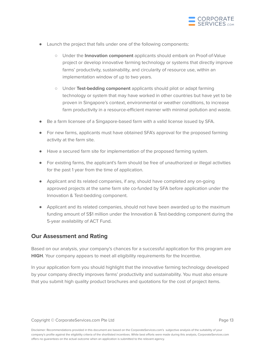

- Launch the project that falls under one of the following components:
	- Under the **Innovation component** applicants should embark on Proof-of-Value project or develop innovative farming technology or systems that directly improve farms' productivity, sustainability, and circularity of resource use, within an implementation window of up to two years.
	- Under **Test-bedding component** applicants should pilot or adapt farming technology or system that may have worked in other countries but have yet to be proven in Singapore's context, environmental or weather conditions, to increase farm productivity in a resource-efficient manner with minimal pollution and waste.
- Be a farm licensee of a Singapore-based farm with a valid license issued by SFA.
- For new farms, applicants must have obtained SFA's approval for the proposed farming activity at the farm site.
- Have a secured farm site for implementation of the proposed farming system.
- For existing farms, the applicant's farm should be free of unauthorized or illegal activities for the past 1 year from the time of application.
- Applicant and its related companies, if any, should have completed any on-going approved projects at the same farm site co-funded by SFA before application under the Innovation & Test-bedding component.
- Applicant and its related companies, should not have been awarded up to the maximum funding amount of S\$1 million under the Innovation & Test-bedding component during the 5-year availability of ACT Fund.

### **Our Assessment and Rating**

Based on our analysis, your company's chances for a successful application for this program are **HIGH**. Your company appears to meet all eligibility requirements for the Incentive.

In your application form you should highlight that the innovative farming technology developed by your company directly improves farms' productivity and sustainability. You must also ensure that you submit high quality product brochures and quotations for the cost of project items.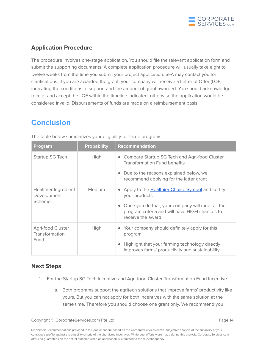

### <span id="page-14-0"></span>**Application Procedure**

The procedure involves one-stage application. You should file the relevant application form and submit the supporting documents. A complete application procedure will usually take eight to twelve weeks from the time you submit your project application. SFA may contact you for clarifications. If you are awarded the grant, your company will receive a Letter of Offer (LOF) indicating the conditions of support and the amount of grant awarded. You should acknowledge receipt and accept the LOF within the timeline indicated, otherwise the application would be considered invalid. Disbursements of funds are made on a reimbursement basis.

# <span id="page-14-1"></span>**Conclusion**

| Program                                       | <b>Probability</b> | <b>Recommendation</b>                                                                                                   |
|-----------------------------------------------|--------------------|-------------------------------------------------------------------------------------------------------------------------|
| Startup SG Tech                               | High               | Compare Startup SG Tech and Agri-food Cluster<br><b>Transformation Fund benefits</b>                                    |
|                                               |                    | Due to the reasons explained below, we<br>recommend applying for the latter grant                                       |
| Healthier Ingredient<br>Development<br>Scheme | Medium             | Apply to the <b>Healthier Choice Symbol</b> and certify<br>your products                                                |
|                                               |                    | Once you do that, your company will meet all the<br>program criteria and will have HIGH chances to<br>receive the award |
| Agri-food Cluster<br>Transformation           | High               | • Your company should definitely apply for this<br>program                                                              |
| Fund                                          |                    | Highlight that your farming technology directly<br>improves farms' productivity and sustainability                      |

The table below summarizes your eligibility for three programs.

### <span id="page-14-2"></span>**Next Steps**

- 1. For the Startup SG Tech Incentive and Agri-food Cluster Transformation Fund Incentive:
	- a. Both programs support the agritech solutions that improve farms' productivity like yours. But you can not apply for both incentives with the same solution at the same time. Therefore you should choose one grant only. We recommend you

Copyright © CorporateServices.com Pte Ltd **Page 14** Page 14